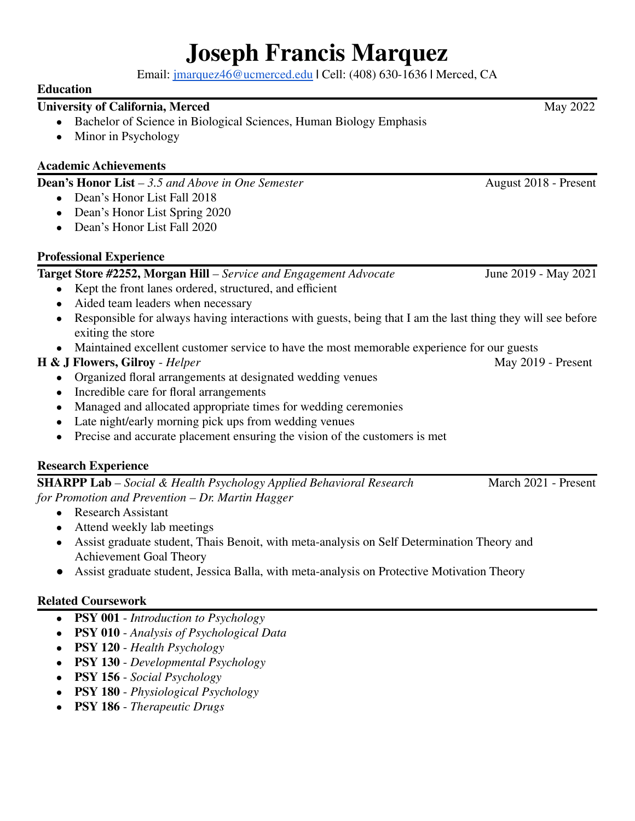# **Joseph Francis Marquez**

Email: [jmarquez46@ucmerced.edu](mailto:jmarquez46@ucmerced.edu) **|** Cell: (408) 630-1636 **|** Merced, CA

#### **Education**

## **University of California, Merced** May 2022

- Bachelor of Science in Biological Sciences, Human Biology Emphasis
- Minor in Psychology

## **Academic Achievements**

**Dean's Honor** List – 3.5 *and Above in One Semester* August 2018 - Present

- Dean's Honor List Fall 2018
- Dean's Honor List Spring 2020
- Dean's Honor List Fall 2020

## **Professional Experience**

## **Target Store #2252, Morgan Hill** *– Service and Engagement Advocate* June 2019 - May 2021

- Kept the front lanes ordered, structured, and efficient
- Aided team leaders when necessary
- Responsible for always having interactions with guests, being that I am the last thing they will see before exiting the store
- Maintained excellent customer service to have the most memorable experience for our guests

# **H & J Flowers, Gilroy** - *Helper* May 2019 - Present

- Organized floral arrangements at designated wedding venues
- Incredible care for floral arrangements
- Managed and allocated appropriate times for wedding ceremonies
- Late night/early morning pick ups from wedding venues
- Precise and accurate placement ensuring the vision of the customers is met

# **Research Experience**



- Research Assistant
- Attend weekly lab meetings
- Assist graduate student, Thais Benoit, with meta-analysis on Self Determination Theory and Achievement Goal Theory
- Assist graduate student, Jessica Balla, with meta-analysis on Protective Motivation Theory

# **Related Coursework**

- **● PSY 001** *Introduction to Psychology*
- **PSY 010** *Analysis of Psychological Data*
- **● PSY 120** *Health Psychology*
- **● PSY 130** *Developmental Psychology*
- **● PSY 156** *Social Psychology*
- **● PSY 180** *Physiological Psychology*
- **● PSY 186** *Therapeutic Drugs*